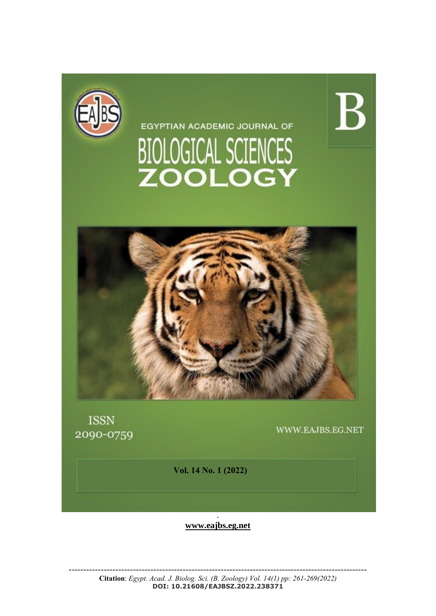

EGYPTIAN ACADEMIC JOURNAL OF BIOLOGICAL SCIENCES<br>ZOOLOGY



**ISSN** 2090-0759

WWW.EAJBS.EG.NET

 $\rm{B}$ 

**Vol. 14 No. 1 (2022)** 

. **[www.eajbs.eg.net](http://www.eajbs.eg.net/)**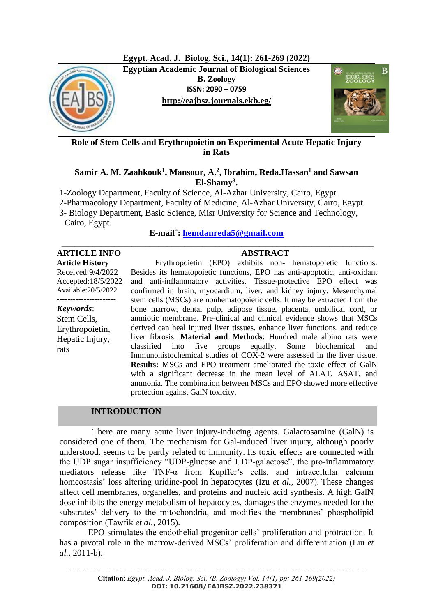

**Role of Stem Cells and Erythropoietin on Experimental Acute Hepatic Injury in Rats**

## **Samir A. M. Zaahkouk<sup>1</sup> , Mansour, A.<sup>2</sup> , Ibrahim, Reda.Hassan<sup>1</sup> and Sawsan El-Shamy<sup>3</sup> .**

1-Zoology Department, Faculty of Science, Al-Azhar University, Cairo, Egypt

2-Pharmacology Department, Faculty of Medicine, Al-Azhar University, Cairo, Egypt

3- Biology Department, Basic Science, Misr University for Science and Technology,

Cairo, Egypt.

## **E-mail\* : [hemdanreda5@gmail.com](mailto:hemdanreda5@gmail.com) \_\_\_\_\_\_\_\_\_\_\_\_\_\_\_\_\_\_\_\_\_\_\_\_\_\_\_\_\_\_\_\_\_\_\_\_\_\_\_\_\_\_\_\_\_\_\_\_\_\_\_\_\_\_\_\_\_\_\_\_\_\_\_\_\_\_\_\_\_\_\_**

# **ARTICLE INFO ABSTRACT**

**Article History** Received:9/4/2022 Accepted:18/5/2022 Available:20/5/2022

## *Keywords*:

Stem Cells, Erythropoietin, Hepatic Injury, rats

Erythropoietin (EPO) exhibits non- hematopoietic functions. Besides its hematopoietic functions, EPO has anti-apoptotic, anti-oxidant and anti-inflammatory activities. Tissue-protective EPO effect was confirmed in brain, myocardium, liver, and kidney injury. Mesenchymal stem cells (MSCs) are nonhematopoietic cells. It may be extracted from the bone marrow, dental pulp, adipose tissue, placenta, umbilical cord, or amniotic membrane. Pre-clinical and clinical evidence shows that MSCs derived can heal injured liver tissues, enhance liver functions, and reduce liver fibrosis. **Material and Methods**: Hundred male albino rats were classified into five groups equally. Some biochemical and Immunohistochemical studies of COX-2 were assessed in the liver tissue. **Results:** MSCs and EPO treatment ameliorated the toxic effect of GalN with a significant decrease in the mean level of ALAT, ASAT, and ammonia. The combination between MSCs and EPO showed more effective protection against GalN toxicity.

# **INTRODUCTION**

 There are many acute liver injury-inducing agents. Galactosamine (GalN) is considered one of them. The mechanism for Gal-induced liver injury, although poorly understood, seems to be partly related to immunity. Its toxic effects are connected with the UDP sugar insufficiency "UDP-glucose and UDP-galactose", the pro-inflammatory mediators release like  $TNF-\alpha$  from Kupffer's cells, and intracellular calcium homeostasis' loss altering uridine-pool in hepatocytes (Izu *et al.,* 2007). These changes affect cell membranes, organelles, and proteins and nucleic acid synthesis. A high GalN dose inhibits the energy metabolism of hepatocytes, damages the enzymes needed for the substrates' delivery to the mitochondria, and modifies the membranes' phospholipid composition (Tawfik *et al.,* 2015).

 EPO stimulates the endothelial progenitor cells' proliferation and protraction. It has a pivotal role in the marrow-derived MSCs' proliferation and differentiation (Liu *et al.,* 2011-b).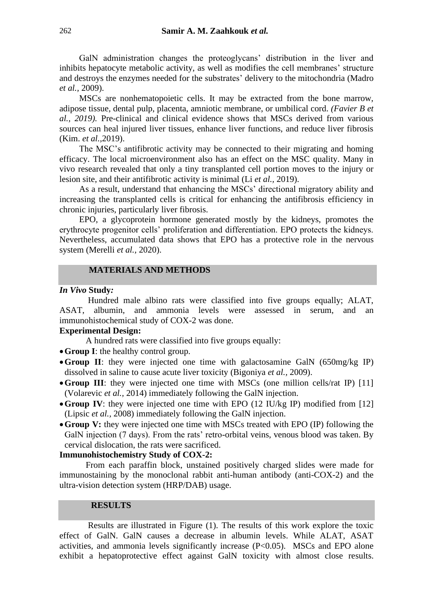GalN administration changes the proteoglycans' distribution in the liver and inhibits hepatocyte metabolic activity, as well as modifies the cell membranes' structure and destroys the enzymes needed for the substrates' delivery to the mitochondria (Madro *et al.,* 2009).

MSCs are nonhematopoietic cells. It may be extracted from the bone marrow, adipose tissue, dental pulp, placenta, amniotic membrane, or umbilical cord. *(Favier B et al., 2019).* Pre-clinical and clinical evidence shows that MSCs derived from various sources can heal injured liver tissues, enhance liver functions, and reduce liver fibrosis (Kim. *et al.,*2019).

The MSC's antifibrotic activity may be connected to their migrating and homing efficacy. The local microenvironment also has an effect on the MSC quality. Many in vivo research revealed that only a tiny transplanted cell portion moves to the injury or lesion site, and their antifibrotic activity is minimal (Li *et al.,* 2019).

As a result, understand that enhancing the MSCs' directional migratory ability and increasing the transplanted cells is critical for enhancing the antifibrosis efficiency in chronic injuries, particularly liver fibrosis.

EPO, a glycoprotein hormone generated mostly by the kidneys, promotes the erythrocyte progenitor cells' proliferation and differentiation. EPO protects the kidneys. Nevertheless, accumulated data shows that EPO has a protective role in the nervous system (Merelli *et al.,* 2020).

## **MATERIALS AND METHODS**

#### *In Vivo* **Study***:*

 Hundred male albino rats were classified into five groups equally; ALAT, ASAT, albumin, and ammonia levels were assessed in serum, and an immunohistochemical study of COX-2 was done.

#### **Experimental Design:**

A hundred rats were classified into five groups equally:

- •**Group I**: the healthy control group.
- •**Group II**: they were injected one time with galactosamine GalN (650mg/kg IP) dissolved in saline to cause acute liver toxicity (Bigoniya *et al.,* 2009).
- Group III: they were injected one time with MSCs (one million cells/rat IP) [11] (Volarevic *et al.,* 2014) immediately following the GalN injection.
- Group IV: they were injected one time with EPO (12 IU/kg IP) modified from [12] [\(Lipsic](http://www.ncbi.nlm.nih.gov/pubmed/?term=Lipsic%20E%5BAuthor%5D&cauthor=true&cauthor_uid=18077209) *et al.,* 2008) immediately following the GalN injection.
- •**Group V:** they were injected one time with MSCs treated with EPO (IP) following the GalN injection (7 days). From the rats' retro-orbital veins, venous blood was taken. By cervical dislocation, the rats were sacrificed.

#### **Immunohistochemistry Study of COX-2:**

 From each paraffin block, unstained positively charged slides were made for immunostaining by the monoclonal rabbit anti-human antibody (anti-COX-2) and the ultra-vision detection system (HRP/DAB) usage.

### **RESULTS**

 Results are illustrated in Figure (1). The results of this work explore the toxic effect of GalN. GalN causes a decrease in albumin levels. While ALAT, ASAT activities, and ammonia levels significantly increase (P<0.05). MSCs and EPO alone exhibit a hepatoprotective effect against GalN toxicity with almost close results.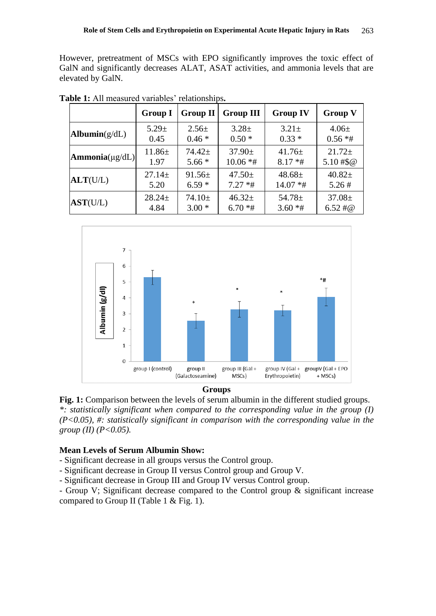However, pretreatment of MSCs with EPO significantly improves the toxic effect of GalN and significantly decreases ALAT, ASAT activities, and ammonia levels that are elevated by GalN.

|                                     | <b>Group I</b> | <b>Group II</b> | <b>Group III</b> | <b>Group IV</b> | <b>Group V</b>        |
|-------------------------------------|----------------|-----------------|------------------|-----------------|-----------------------|
| $\text{Albumin}(g/dL)$              | $5.29 \pm$     | $2.56 \pm$      | $3.28 \pm$       | $3.21 \pm$      | $4.06\pm$             |
|                                     | 0.45           | $0.46*$         | $0.50*$          | $0.33*$         | $0.56$ *#             |
| $\textbf{Ammonia}(\mu \text{g/dL})$ | $11.86 \pm$    | $74.42+$        | $37.90 \pm$      | $41.76 \pm$     | $21.72+$              |
|                                     | 1.97           | $5.66*$         | $10.06$ *#       | $8.17 * #$      | $5.10#$ \$@           |
| ALT(U/L)                            | $27.14 \pm$    | $91.56 \pm$     | $47.50 \pm$      | $48.68 \pm$     | $40.82 \pm$           |
|                                     | 5.20           | $6.59*$         | $7.27$ *#        | $14.07$ *#      | 5.26#                 |
| AST(U/L)                            | $28.24 \pm$    | $74.10 \pm$     | $46.32 \pm$      | $54.78 \pm$     | $37.08 \pm$           |
|                                     | 4.84           | $3.00*$         | $6.70*$ #        | $3.60$ *#       | $6.52 \; \text{\#} @$ |

**Table 1:** All measured variables' relationships**.**



**Groups**

**Fig. 1:** Comparison between the levels of serum albumin in the different studied groups. *\*: statistically significant when compared to the corresponding value in the group (I) (P<0.05), #: statistically significant in comparison with the corresponding value in the group (II) (P<0.05).*

#### **Mean Levels of Serum Albumin Show:**

- Significant decrease in all groups versus the Control group.

- Significant decrease in Group II versus Control group and Group V.

- Significant decrease in Group III and Group IV versus Control group.

- Group V; Significant decrease compared to the Control group & significant increase compared to Group II (Table 1 & Fig. 1).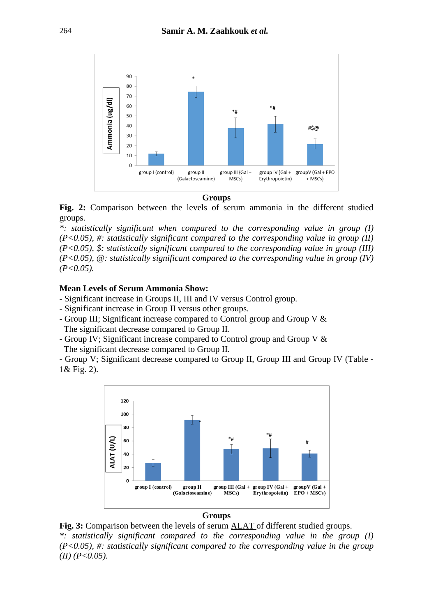

**Groups**

**Fig. 2:** Comparison between the levels of serum ammonia in the different studied groups.

*\*: statistically significant when compared to the corresponding value in group (I) (P<0.05), #: statistically significant compared to the corresponding value in group (II) (P<0.05), \$: statistically significant compared to the corresponding value in group (III) (P<0.05), @: statistically significant compared to the corresponding value in group (IV) (P<0.05).*

#### **Mean Levels of Serum Ammonia Show:**

- Significant increase in Groups II, III and IV versus Control group.
- Significant increase in Group II versus other groups.
- Group III; Significant increase compared to Control group and Group V & The significant decrease compared to Group II.
- Group IV; Significant increase compared to Control group and Group V & The significant decrease compared to Group II.

- Group V; Significant decrease compared to Group II, Group III and Group IV (Table - 1& Fig. 2).



**Groups**

**Fig. 3:** Comparison between the levels of serum ALAT of different studied groups. *\*: statistically significant compared to the corresponding value in the group (I) (P<0.05), #: statistically significant compared to the corresponding value in the group*   $(II)$   $(P<0.05)$ .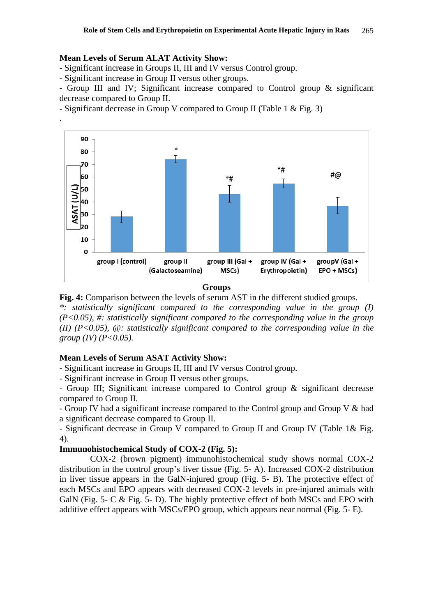#### **Mean Levels of Serum ALAT Activity Show:**

.

- Significant increase in Groups II, III and IV versus Control group.

- Significant increase in Group II versus other groups.

- Group III and IV; Significant increase compared to Control group & significant decrease compared to Group II.

- Significant decrease in Group V compared to Group II (Table 1 & Fig. 3)



**Groups**

**Fig. 4:** Comparison between the levels of serum AST in the different studied groups. *\*: statistically significant compared to the corresponding value in the group (I) (P<0.05), #: statistically significant compared to the corresponding value in the group (II) (P<0.05), @: statistically significant compared to the corresponding value in the group (IV) (P<0.05).*

#### **Mean Levels of Serum ASAT Activity Show:**

- Significant increase in Groups II, III and IV versus Control group.

- Significant increase in Group II versus other groups.

- Group III; Significant increase compared to Control group & significant decrease compared to Group II.

- Group IV had a significant increase compared to the Control group and Group V & had a significant decrease compared to Group II.

- Significant decrease in Group V compared to Group II and Group IV (Table 1& Fig. 4).

#### **Immunohistochemical Study of COX-2 (Fig. 5):**

 COX-2 (brown pigment) immunohistochemical study shows normal COX-2 distribution in the control group's liver tissue (Fig. 5- A). Increased COX-2 distribution in liver tissue appears in the GalN-injured group (Fig. 5- B). The protective effect of each MSCs and EPO appears with decreased COX-2 levels in pre-injured animals with GalN (Fig. 5- C & Fig. 5- D). The highly protective effect of both MSCs and EPO with additive effect appears with MSCs/EPO group, which appears near normal (Fig. 5- E).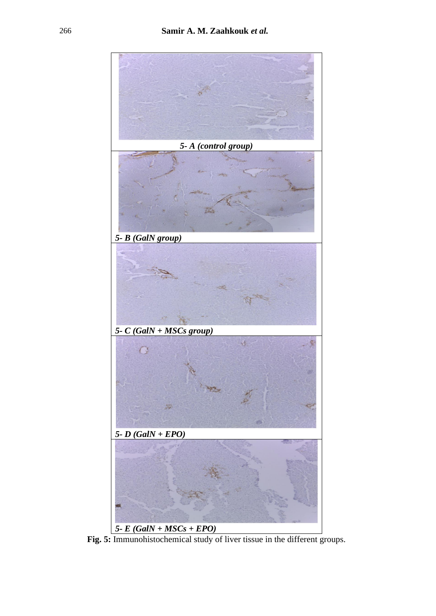

**Fig. 5:** Immunohistochemical study of liver tissue in the different groups.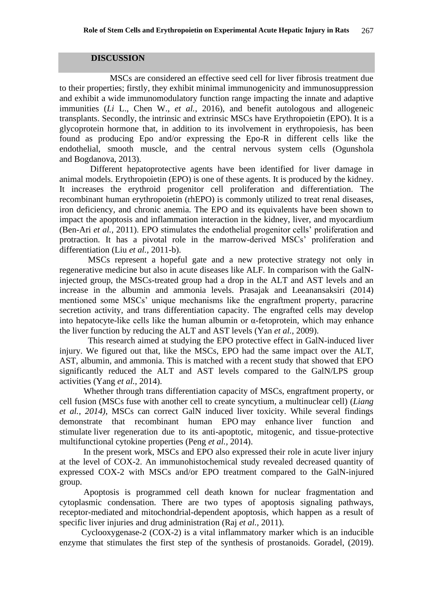#### **DISCUSSION**

 MSCs are considered an effective seed cell for liver fibrosis treatment due to their properties; firstly, they exhibit minimal immunogenicity and immunosuppression and exhibit a wide immunomodulatory function range impacting the innate and adaptive immunities (*Li* L., Chen W., *et al.,* 2016), and benefit autologous and allogeneic transplants. Secondly, the intrinsic and extrinsic MSCs have Erythropoietin (EPO). It is a glycoprotein hormone that, in addition to its involvement in erythropoiesis, has been found as producing Epo and/or expressing the Epo-R in different cells like the endothelial, smooth muscle, and the central nervous system cells (Ogunshola and Bogdanova, 2013).

 Different hepatoprotective agents have been identified for liver damage in animal models. Erythropoietin (EPO) is one of these agents. It is produced by the kidney. It increases the erythroid progenitor cell proliferation and differentiation. The recombinant human erythropoietin (rhEPO) is commonly utilized to treat renal diseases, iron deficiency, and chronic anemia. The EPO and its equivalents have been shown to impact the apoptosis and inflammation interaction in the kidney, liver, and myocardium (Ben-Ari *et al.,* 2011). EPO stimulates the endothelial progenitor cells' proliferation and protraction. It has a pivotal role in the marrow-derived MSCs' proliferation and differentiation (Liu *et al.,* 2011-b).

 MSCs represent a hopeful gate and a new protective strategy not only in regenerative medicine but also in acute diseases like ALF. In comparison with the GalNinjected group, the MSCs-treated group had a drop in the ALT and AST levels and an increase in the albumin and ammonia levels. Prasajak and Leeanansaksiri (2014) mentioned some MSCs' unique mechanisms like the engraftment property, paracrine secretion activity, and trans differentiation capacity. The engrafted cells may develop into hepatocyte-like cells like the human albumin or  $\alpha$ -fetoprotein, which may enhance the liver function by reducing the ALT and AST levels (Yan *et al.,* 2009).

 This research aimed at studying the EPO protective effect in GalN-induced liver injury. We figured out that, like the MSCs, EPO had the same impact over the ALT, AST, albumin, and ammonia. This is matched with a recent study that showed that EPO significantly reduced the ALT and AST levels compared to the GalN/LPS group activities (Yang *et al.,* 2014).

 Whether through trans differentiation capacity of MSCs, engraftment property, or cell fusion (MSCs fuse with another cell to create syncytium, a multinuclear cell) (*Liang et al., 2014)*, MSCs can correct GalN induced liver toxicity. While several findings demonstrate that recombinant human EPO may enhance liver function and stimulate liver regeneration due to its anti-apoptotic, mitogenic, and tissue-protective multifunctional cytokine properties (Peng *et al.,* 2014).

 In the present work, MSCs and EPO also expressed their role in acute liver injury at the level of COX-2. An immunohistochemical study revealed decreased quantity of expressed COX-2 with MSCs and/or EPO treatment compared to the GalN-injured group.

 Apoptosis is programmed cell death known for nuclear fragmentation and cytoplasmic condensation. There are two types of apoptosis signaling pathways, receptor-mediated and mitochondrial-dependent apoptosis, which happen as a result of specific liver injuries and drug administration (Raj *et al.,* 2011).

Cyclooxygenase-2 (COX-2) is a vital inflammatory marker which is an inducible enzyme that stimulates the first step of the synthesis of prostanoids. Goradel, (2019).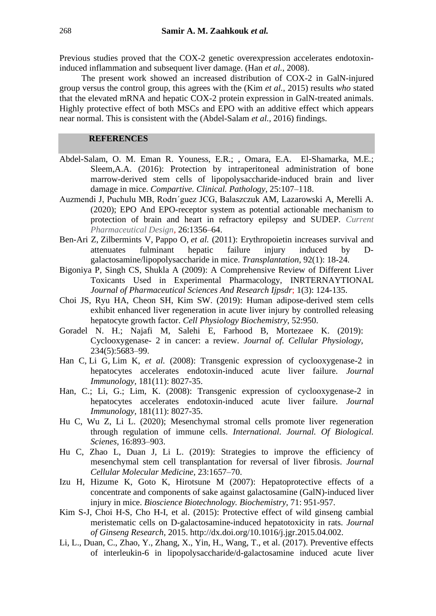Previous studies proved that the COX-2 genetic overexpression accelerates endotoxininduced inflammation and subsequent liver damage. (Han *et al.,* 2008).

 The present work showed an increased distribution of COX-2 in GalN-injured group versus the control group, this agrees with the (Kim *et al.,* 2015) results *who* stated that the elevated mRNA and hepatic COX-2 protein expression in GalN-treated animals. Highly protective effect of both MSCs and EPO with an additive effect which appears near normal. This is consistent with the (Abdel-Salam *et al.,* 2016) findings.

### **REFERENCES**

- Abdel-Salam, O. M. Eman R. Youness, E.R.; , Omara, E.A. El-Shamarka, M.E.; Sleem,A.A. (2016): Protection by intraperitoneal administration of bone marrow-derived stem cells of lipopolysaccharide-induced brain and liver damage in mice. *Compartive. Clinical. Pathology,* 25:107–118.
- Auzmendi J, Puchulu MB, Rodrı´guez JCG, Balaszczuk AM, Lazarowski A, Merelli A. (2020); EPO And EPO-receptor system as potential actionable mechanism to protection of brain and heart in refractory epilepsy and SUDEP. *Current Pharmaceutical Design,* 26:1356–64.
- [Ben-Ari Z,](http://www.ncbi.nlm.nih.gov/pubmed/?term=Ben-Ari%20Z%5BAuthor%5D&cauthor=true&cauthor_uid=21516061) [Zilbermints V,](http://www.ncbi.nlm.nih.gov/pubmed/?term=Zilbermints%20V%5BAuthor%5D&cauthor=true&cauthor_uid=21516061) [Pappo O,](http://www.ncbi.nlm.nih.gov/pubmed/?term=Pappo%20O%5BAuthor%5D&cauthor=true&cauthor_uid=21516061) *et al.* (2011): Erythropoietin increases survival and attenuates fulminant hepatic failure injury induced by Dgalactosamine/lipopolysaccharide in mice. *Transplantation,* 92(1): 18-24.
- Bigoniya P, Singh CS, Shukla A (2009): A Comprehensive Review of Different Liver Toxicants Used in Experimental Pharmacology, INRTERNAYTIONAL *Journal of Pharmaceutical Sciences And Research Ijpsdr*; 1(3): 124-135.
- Choi JS, Ryu HA, Cheon SH, Kim SW. (2019): Human adipose-derived stem cells exhibit enhanced liver regeneration in acute liver injury by controlled releasing hepatocyte growth factor. *Cell Physiology Biochemistry,* 52:950.
- Goradel N. H.; Najafi M, Salehi E, Farhood B, Mortezaee K. (2019): Cyclooxygenase- 2 in cancer: a review. *Journal of. Cellular Physiology,* 234(5):5683–99.
- [Han C,](http://www.ncbi.nlm.nih.gov/pubmed/?term=Han%20C%5BAuthor%5D&cauthor=true&cauthor_uid=19017995) [Li G,](http://www.ncbi.nlm.nih.gov/pubmed/?term=Li%20G%5BAuthor%5D&cauthor=true&cauthor_uid=19017995) [Lim K,](http://www.ncbi.nlm.nih.gov/pubmed/?term=Lim%20K%5BAuthor%5D&cauthor=true&cauthor_uid=19017995) *et al.* (2008): Transgenic expression of cyclooxygenase-2 in hepatocytes accelerates endotoxin-induced acute liver failure. *[Journal](http://www.ncbi.nlm.nih.gov/pubmed/19017995) [Immunolo](http://www.ncbi.nlm.nih.gov/pubmed/19017995)gy,* 181(11): 8027-35.
- Han, C.; Li, G.; Lim, K. (2008): Transgenic expression of cyclooxygenase-2 in hepatocytes accelerates endotoxin-induced acute liver failure. *Journal Immunology,* 181(11): 8027-35.
- Hu C, Wu Z, Li L. (2020); Mesenchymal stromal cells promote liver regeneration through regulation of immune cells. *International. Journal. Of Biological. Scienes,* 16:893–903.
- Hu C, Zhao L, Duan J, Li L. (2019): Strategies to improve the efficiency of mesenchymal stem cell transplantation for reversal of liver fibrosis. *Journal Cellular Molecular Medicine,* 23:1657–70.
- Izu H, Hizume K, Goto K, Hirotsune M (2007): Hepatoprotective effects of a concentrate and components of sake against galactosamine (GalN)-induced liver injury in mice. *Bioscience Biotechnology. Biochemistry,* 71: 951-957.
- Kim S-J, Choi H-S, Cho H-I, et al. (2015): Protective effect of wild ginseng cambial meristematic cells on D-galactosamine-induced hepatotoxicity in rats. *Journal of Ginseng Research,* 2015. [http://dx.doi.org/10.1016/j.jgr.2015.04.002.](http://dx.doi.org/10.1016/j.jgr.2015.04.002)
- Li, L., Duan, C., Zhao, Y., Zhang, X., Yin, H., Wang, T., et al. (2017). Preventive effects of interleukin-6 in lipopolysaccharide/d-galactosamine induced acute liver